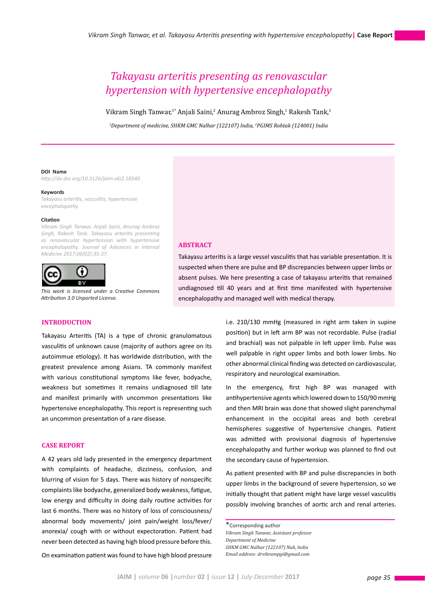# *Takayasu arteritis presenting as renovascular hypertension with hypertensive encephalopathy*

Vikram Singh Tanwar,<sup>1\*</sup> Anjali Saini,<sup>2</sup> Anurag Ambroz Singh,<sup>1</sup> Rakesh Tank,<sup>1</sup>

*1 Department of medicine, SHKM GMC Nalhar (122107) India, 2 PGIMS Rohtak (124001) India*

#### **DOI Name**

*http://dx.doi.org/10.3126/jaim.v6i2.18540*

#### **Keywords**

*Takayasu arteritis, vasculitis, hypertensive encephalopathy*

#### **Citation**

*Vikram Singh Tanwar, Anjali Saini, Anurag Ambroz Singh, Rakesh Tank. Takayasu arteritis presenting as renovascular hypertension with hypertensive encephalopathy. Journal of Advances in Internal Medicine 2017;06(02):35-37.*



*This work is licensed under a Creative Commons Attribution 3.0 Unported License.*

### **INTRODUCTION**

Takayasu Arteritis (TA) is a type of chronic granulomatous vasculitis of unknown cause (majority of authors agree on its autoimmue etiology). It has worldwide distribution, with the greatest prevalence among Asians. TA commonly manifest with various constitutional symptoms like fever, bodyache, weakness but sometimes it remains undiagnosed till late and manifest primarily with uncommon presentations like hypertensive encephalopathy. This report is representing such an uncommon presentation of a rare disease.

## **CASE REPORT**

A 42 years old lady presented in the emergency department with complaints of headache, dizziness, confusion, and blurring of vision for 5 days. There was history of nonspecific complaints like bodyache, generalized body weakness, fatigue, low energy and difficulty in doing daily routine activities for last 6 months. There was no history of loss of consciousness/ abnormal body movements/ joint pain/weight loss/fever/ anorexia/ cough with or without expectoration. Patient had never been detected as having high blood pressure before this.

On examination patient was found to have high blood pressure

**ABSTRACT**

Takayasu arteritis is a large vessel vasculitis that has variable presentation. It is suspected when there are pulse and BP discrepancies between upper limbs or absent pulses. We here presenting a case of takayasu arteritis that remained undiagnosed till 40 years and at first time manifested with hypertensive encephalopathy and managed well with medical therapy.

> i.e. 210/130 mmHg (measured in right arm taken in supine position) but in left arm BP was not recordable. Pulse (radial and brachial) was not palpable in left upper limb. Pulse was well palpable in right upper limbs and both lower limbs. No other abnormal clinical finding was detected on cardiovascular, respiratory and neurological examination.

> In the emergency, first high BP was managed with antihypertensive agents which lowered down to 150/90 mmHg and then MRI brain was done that showed slight parenchymal enhancement in the occipital areas and both cerebral hemispheres suggestive of hypertensive changes. Patient was admitted with provisional diagnosis of hypertensive encephalopathy and further workup was planned to find out the secondary cause of hypertension.

> As patient presented with BP and pulse discrepancies in both upper limbs in the background of severe hypertension, so we initially thought that patient might have large vessel vasculitis possibly involving branches of aortic arch and renal arteries.

\*Corresponding author *Vikram Singh Tanwar, Assistant professor Department of Medicine SHKM GMC Nalhar (122107) Nuh, India Email address- drvikrampgi@gmail.com*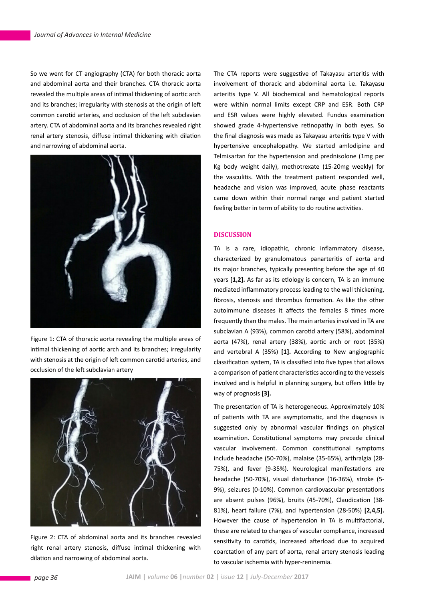So we went for CT angiography (CTA) for both thoracic aorta and abdominal aorta and their branches. CTA thoracic aorta revealed the multiple areas of intimal thickening of aortic arch and its branches; irregularity with stenosis at the origin of left common carotid arteries, and occlusion of the left subclavian artery. CTA of abdominal aorta and its branches revealed right renal artery stenosis, diffuse intimal thickening with dilation and narrowing of abdominal aorta.



Figure 1: CTA of thoracic aorta revealing the multiple areas of intimal thickening of aortic arch and its branches; irregularity with stenosis at the origin of left common carotid arteries, and occlusion of the left subclavian artery



Figure 2: CTA of abdominal aorta and its branches revealed right renal artery stenosis, diffuse intimal thickening with dilation and narrowing of abdominal aorta.

The CTA reports were suggestive of Takayasu arteritis with involvement of thoracic and abdominal aorta i.e. Takayasu arteritis type V. All biochemical and hematological reports were within normal limits except CRP and ESR. Both CRP and ESR values were highly elevated. Fundus examination showed grade 4-hypertensive retinopathy in both eyes. So the final diagnosis was made as Takayasu arteritis type V with hypertensive encephalopathy. We started amlodipine and Telmisartan for the hypertension and prednisolone (1mg per Kg body weight daily), methotrexate (15-20mg weekly) for the vasculitis. With the treatment patient responded well, headache and vision was improved, acute phase reactants came down within their normal range and patient started feeling better in term of ability to do routine activities.

## **DISCUSSION**

TA is a rare, idiopathic, chronic inflammatory disease, characterized by granulomatous panarteritis of aorta and its major branches, typically presenting before the age of 40 years **[1,2].** As far as its etiology is concern, TA is an immune mediated inflammatory process leading to the wall thickening, fibrosis, stenosis and thrombus formation. As like the other autoimmune diseases it affects the females 8 times more frequently than the males. The main arteries involved in TA are subclavian A (93%), common carotid artery (58%), abdominal aorta (47%), renal artery (38%), aortic arch or root (35%) and vertebral A (35%) **[1].** According to New angiographic classification system, TA is classified into five types that allows a comparison of patient characteristics according to the vessels involved and is helpful in planning surgery, but offers little by way of prognosis **[3].**

The presentation of TA is heterogeneous. Approximately 10% of patients with TA are asymptomatic, and the diagnosis is suggested only by abnormal vascular findings on physical examination. Constitutional symptoms may precede clinical vascular involvement. Common constitutional symptoms include headache (50-70%), malaise (35-65%), arthralgia (28- 75%), and fever (9-35%). Neurological manifestations are headache (50-70%), visual disturbance (16-36%), stroke (5- 9%), seizures (0-10%). Common cardiovascular presentations are absent pulses (96%), bruits (45-70%), Claudication (38- 81%), heart failure (7%), and hypertension (28-50%) **[2,4,5].**  However the cause of hypertension in TA is multifactorial, these are related to changes of vascular compliance, increased sensitivity to carotids, increased afterload due to acquired coarctation of any part of aorta, renal artery stenosis leading to vascular ischemia with hyper-reninemia.